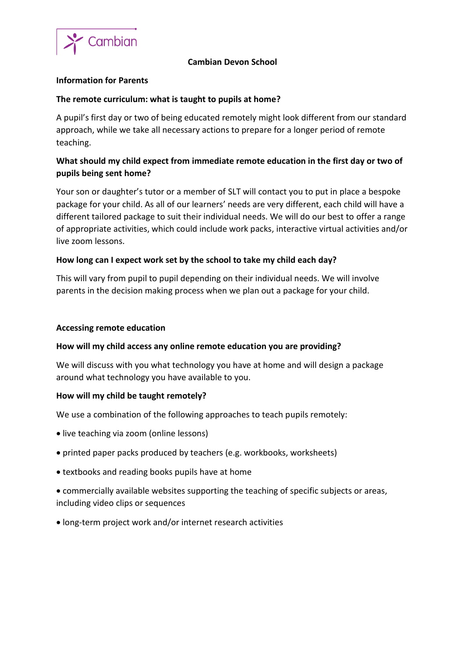

## **Cambian Devon School**

#### **Information for Parents**

### **The remote curriculum: what is taught to pupils at home?**

A pupil's first day or two of being educated remotely might look different from our standard approach, while we take all necessary actions to prepare for a longer period of remote teaching.

# **What should my child expect from immediate remote education in the first day or two of pupils being sent home?**

Your son or daughter's tutor or a member of SLT will contact you to put in place a bespoke package for your child. As all of our learners' needs are very different, each child will have a different tailored package to suit their individual needs. We will do our best to offer a range of appropriate activities, which could include work packs, interactive virtual activities and/or live zoom lessons.

## **How long can I expect work set by the school to take my child each day?**

This will vary from pupil to pupil depending on their individual needs. We will involve parents in the decision making process when we plan out a package for your child.

#### **Accessing remote education**

#### **How will my child access any online remote education you are providing?**

We will discuss with you what technology you have at home and will design a package around what technology you have available to you.

#### **How will my child be taught remotely?**

We use a combination of the following approaches to teach pupils remotely:

- live teaching via zoom (online lessons)
- printed paper packs produced by teachers (e.g. workbooks, worksheets)
- textbooks and reading books pupils have at home
- commercially available websites supporting the teaching of specific subjects or areas, including video clips or sequences
- long-term project work and/or internet research activities